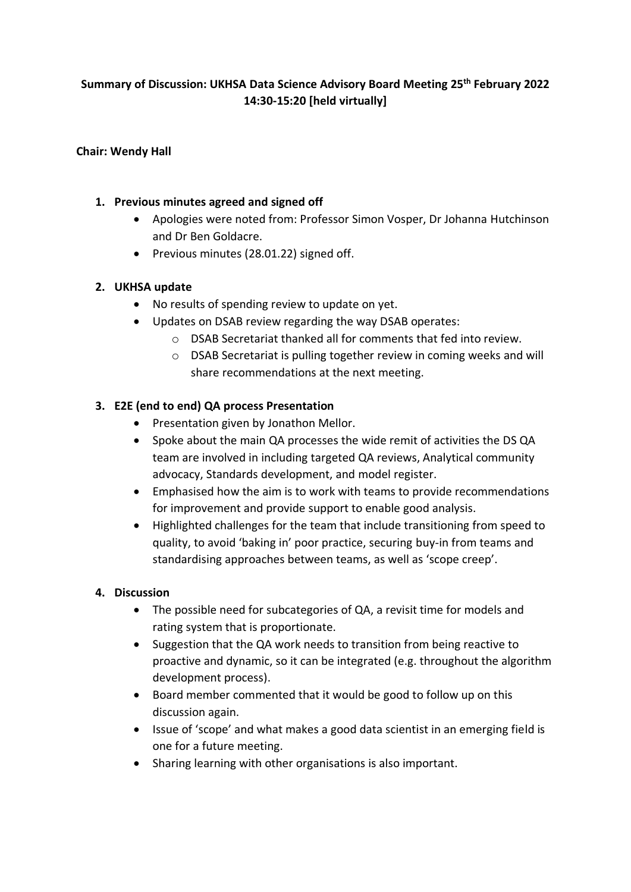# **Summary of Discussion: UKHSA Data Science Advisory Board Meeting 25th February 2022 14:30-15:20 [held virtually]**

## **Chair: Wendy Hall**

#### **1. Previous minutes agreed and signed off**

- Apologies were noted from: Professor Simon Vosper, Dr Johanna Hutchinson and Dr Ben Goldacre.
- Previous minutes (28.01.22) signed off.

## **2. UKHSA update**

- No results of spending review to update on yet.
- Updates on DSAB review regarding the way DSAB operates:
	- o DSAB Secretariat thanked all for comments that fed into review.
	- o DSAB Secretariat is pulling together review in coming weeks and will share recommendations at the next meeting.

## **3. E2E (end to end) QA process Presentation**

- Presentation given by Jonathon Mellor.
- Spoke about the main QA processes the wide remit of activities the DS QA team are involved in including targeted QA reviews, Analytical community advocacy, Standards development, and model register.
- Emphasised how the aim is to work with teams to provide recommendations for improvement and provide support to enable good analysis.
- Highlighted challenges for the team that include transitioning from speed to quality, to avoid 'baking in' poor practice, securing buy-in from teams and standardising approaches between teams, as well as 'scope creep'.

#### **4. Discussion**

- The possible need for subcategories of QA, a revisit time for models and rating system that is proportionate.
- Suggestion that the QA work needs to transition from being reactive to proactive and dynamic, so it can be integrated (e.g. throughout the algorithm development process).
- Board member commented that it would be good to follow up on this discussion again.
- Issue of 'scope' and what makes a good data scientist in an emerging field is one for a future meeting.
- Sharing learning with other organisations is also important.